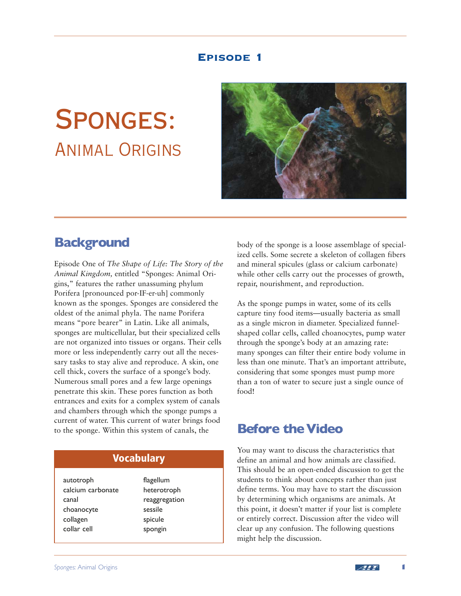## Episode 1

# Sponges: Animal Origins



# **Background**

Episode One of *The Shape of Life: The Story of the Animal Kingdom,* entitled "Sponges: Animal Origins," features the rather unassuming phylum Porifera [pronounced por-IF-er-uh] commonly known as the sponges. Sponges are considered the oldest of the animal phyla. The name Porifera means "pore bearer" in Latin. Like all animals, sponges are multicellular, but their specialized cells are not organized into tissues or organs. Their cells more or less independently carry out all the necessary tasks to stay alive and reproduce. A skin, one cell thick, covers the surface of a sponge's body. Numerous small pores and a few large openings penetrate this skin. These pores function as both entrances and exits for a complex system of canals and chambers through which the sponge pumps a current of water. This current of water brings food to the sponge. Within this system of canals, the

## **Vocabulary**

autotroph calcium carbonate canal choanocyte collagen collar cell

flagellum heterotroph reaggregation sessile spicule spongin

body of the sponge is a loose assemblage of specialized cells. Some secrete a skeleton of collagen fibers and mineral spicules (glass or calcium carbonate) while other cells carry out the processes of growth, repair, nourishment, and reproduction.

As the sponge pumps in water, some of its cells capture tiny food items—usually bacteria as small as a single micron in diameter. Specialized funnelshaped collar cells, called choanocytes, pump water through the sponge's body at an amazing rate: many sponges can filter their entire body volume in less than one minute. That's an important attribute, considering that some sponges must pump more than a ton of water to secure just a single ounce of food!

# **Before the Video**

You may want to discuss the characteristics that define an animal and how animals are classified. This should be an open-ended discussion to get the students to think about concepts rather than just define terms. You may have to start the discussion by determining which organisms are animals. At this point, it doesn't matter if your list is complete or entirely correct. Discussion after the video will clear up any confusion. The following questions might help the discussion.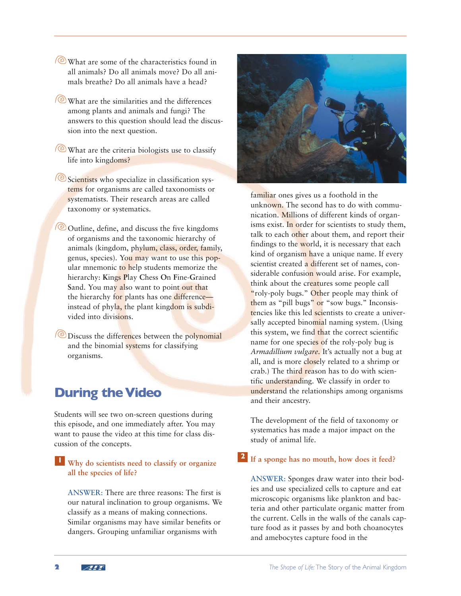- **What are some of the characteristics found in** all animals? Do all animals move? Do all animals breathe? Do all animals have a head?
- **What are the similarities and the differences** among plants and animals and fungi? The answers to this question should lead the discussion into the next question.
- **What are the criteria biologists use to classify** life into kingdoms?
- Scientists who specialize in classification systems for organisms are called taxonomists or systematists. Their research areas are called taxonomy or systematics.
- $\circ$  Outline, define, and discuss the five kingdoms of organisms and the taxonomic hierarchy of animals (kingdom, phylum, class, order, family, genus, species). You may want to use this popular mnemonic to help students memorize the hierarchy: **K**ings **P**lay **C**hess **O**n **F**ine-**G**rained Sand. You may also want to point out that the hierarchy for plants has one difference instead of phyla, the plant kingdom is subdivided into divisions.
- **(**<sup> $\odot$ </sup> Discuss the differences between the polynomial and the binomial systems for classifying organisms.

# **During the Video**

Students will see two on-screen questions during this episode, and one immediately after. You may want to pause the video at this time for class discussion of the concepts.

## **1 Why do scientists need to classify or organize all the species of life?**

ANSWER: There are three reasons: The first is our natural inclination to group organisms. We classify as a means of making connections. Similar organisms may have similar benefits or dangers. Grouping unfamiliar organisms with



familiar ones gives us a foothold in the unknown. The second has to do with communication. Millions of different kinds of organisms exist. In order for scientists to study them, talk to each other about them, and report their findings to the world, it is necessary that each kind of organism have a unique name. If every scientist created a different set of names, considerable confusion would arise. For example, think about the creatures some people call "roly-poly bugs." Other people may think of them as "pill bugs" or "sow bugs." Inconsistencies like this led scientists to create a universally accepted binomial naming system. (Using this system, we find that the correct scientific name for one species of the roly-poly bug is *Armadillium vulgare.* It's actually not a bug at all, and is more closely related to a shrimp or crab.) The third reason has to do with scientific understanding. We classify in order to understand the relationships among organisms and their ancestry.

The development of the field of taxonomy or systematics has made a major impact on the study of animal life.

#### **If a sponge has no mouth, how does it feed?**

ANSWER: Sponges draw water into their bodies and use specialized cells to capture and eat microscopic organisms like plankton and bacteria and other particulate organic matter from the current. Cells in the walls of the canals capture food as it passes by and both choanocytes and amebocytes capture food in the

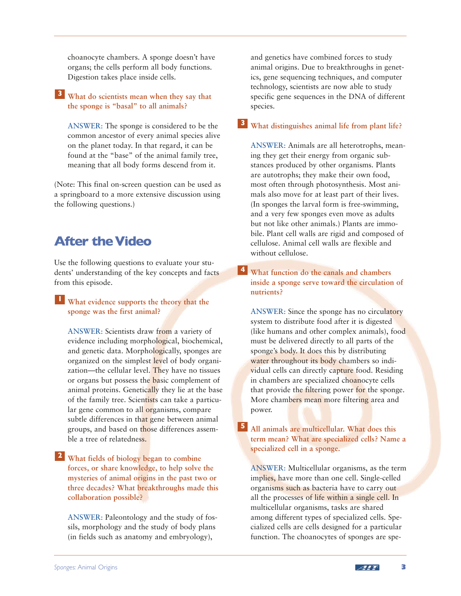choanocyte chambers. A sponge doesn't have organs; the cells perform all body functions. Digestion takes place inside cells.

## **What do scientists mean when they say that 3 the sponge is "basal" to all animals?**

ANSWER: The sponge is considered to be the common ancestor of every animal species alive on the planet today. In that regard, it can be found at the "base" of the animal family tree, meaning that all body forms descend from it.

(Note: This final on-screen question can be used as a springboard to a more extensive discussion using the following questions.)

# **After the Video**

Use the following questions to evaluate your students' understanding of the key concepts and facts from this episode.

## **What evidence supports the theory that the 1 sponge was the first animal?**

ANSWER: Scientists draw from a variety of evidence including morphological, biochemical, and genetic data. Morphologically, sponges are organized on the simplest level of body organization—the cellular level. They have no tissues or organs but possess the basic complement of animal proteins. Genetically they lie at the base of the family tree. Scientists can take a particular gene common to all organisms, compare subtle differences in that gene between animal groups, and based on those differences assemble a tree of relatedness.

### **What fields of biology began to combine 2 forces, or share knowledge, to help solve the mysteries of animal origins in the past two or three decades? What breakthroughs made this collaboration possible?**

ANSWER: Paleontology and the study of fossils, morphology and the study of body plans (in fields such as anatomy and embryology),

and genetics have combined forces to study animal origins. Due to breakthroughs in genetics, gene sequencing techniques, and computer technology, scientists are now able to study specific gene sequences in the DNA of different species.

**What distinguishes animal life from plant life? 3**

ANSWER: Animals are all heterotrophs, meaning they get their energy from organic substances produced by other organisms. Plants are autotrophs; they make their own food, most often through photosynthesis. Most animals also move for at least part of their lives. (In sponges the larval form is free-swimming, and a very few sponges even move as adults but not like other animals.) Plants are immobile. Plant cell walls are rigid and composed of cellulose. Animal cell walls are flexible and without cellulose.

**What function do the canals and chambers 4 inside a sponge serve toward the circulation of nutrients?**

ANSWER: Since the sponge has no circulatory system to distribute food after it is digested (like humans and other complex animals), food must be delivered directly to all parts of the sponge's body. It does this by distributing water throughout its body chambers so individual cells can directly capture food. Residing in chambers are specialized choanocyte cells that provide the filtering power for the sponge. More chambers mean more filtering area and power.

## **All animals are multicellular. What does this 5 term mean? What are specialized cells? Name a specialized cell in a sponge.**

ANSWER: Multicellular organisms, as the term implies, have more than one cell. Single-celled organisms such as bacteria have to carry out all the processes of life within a single cell. In multicellular organisms, tasks are shared among different types of specialized cells. Specialized cells are cells designed for a particular function. The choanocytes of sponges are spe-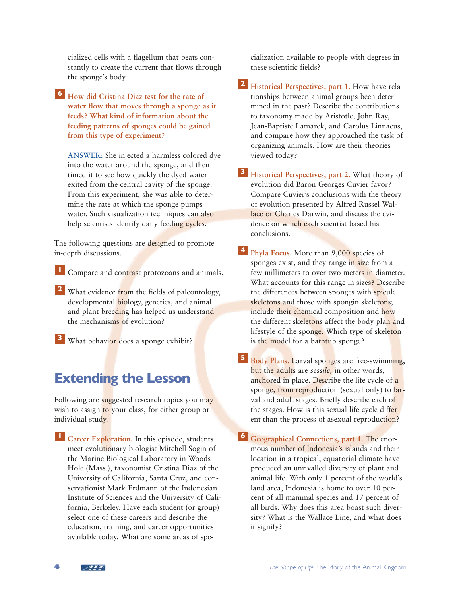cialized cells with a flagellum that beats constantly to create the current that flows through the sponge's body.

**How did Cristina Diaz test for the rate of 6 water flow that moves through a sponge as it feeds? What kind of information about the feeding patterns of sponges could be gained from this type of experiment?** 

ANSWER: She injected a harmless colored dye into the water around the sponge, and then timed it to see how quickly the dyed water exited from the central cavity of the sponge. From this experiment, she was able to determine the rate at which the sponge pumps water. Such visualization techniques can also help scientists identify daily feeding cycles.

The following questions are designed to promote in-depth discussions.

Compare and contrast protozoans and animals. **1**

- What evidence from the fields of paleontology, **2** developmental **biology**, genetics, and animal and plant breeding has helped us understand the mechanisms of evolution?
- What behavior does a sponge exhibit? **3**

# **Extending the Lesson**

Following are suggested research topics you may wish to assign to your class, for either group or individual study.

**L** Career Exploration. In this episode, students meet evolutionary biologist Mitchell Sogin of the Marine Biological Laboratory in Woods Hole (Mass.), taxonomist Cristina Diaz of the University of California, Santa Cruz, and conservationist Mark Erdmann of the Indonesian Institute of Sciences and the University of California, Berkeley. Have each student (or group) select one of these careers and describe the education, training, and career opportunities available today. What are some areas of specialization available to people with degrees in these scientific fields?

**Historical Perspectives, part 1.** How have rela-**2** tionships between animal groups been determined in the past? Describe the contributions to taxonomy made by Aristotle, John Ray, Jean-Baptiste Lamarck, and Carolus Linnaeus, and compare how they approached the task of organizing animals. How are their theories viewed today?

**Historical Perspectives, part 2.** What theory of **3** evolution did Baron Georges Cuvier favor? Compare Cuvier's conclusions with the theory of evolution presented by Alfred Russel Wallace or Charles Darwin, and discuss the evidence on which each scientist based his conclusions.

- **4** Phyla Focus. More than 9,000 species of sponges exist, and they range in size from a few millimeters to over two meters in diameter. What accounts for this range in sizes? Describe the differences between sponges with spicule skeletons and those with spongin skeletons; include their chemical composition and how the different skeletons affect the body plan and lifestyle of the sponge. Which type of skeleton is the model for a bathtub sponge?
- **5** Body Plans. Larval sponges are free-swimming, but the adults are *sessile,* in other words, anchored in place. Describe the life cycle of a sponge, from reproduction (sexual only) to larval and adult stages. Briefly describe each of the stages. How is this sexual life cycle different than the process of asexual reproduction?

**Geographical Connections, part 1.** The enor-**6** mous number of Indonesia's islands and their location in a tropical, equatorial climate have produced an unrivalled diversity of plant and animal life. With only 1 percent of the world's land area, Indonesia is home to over 10 percent of all mammal species and 17 percent of all birds. Why does this area boast such diversity? What is the Wallace Line, and what does it signify?